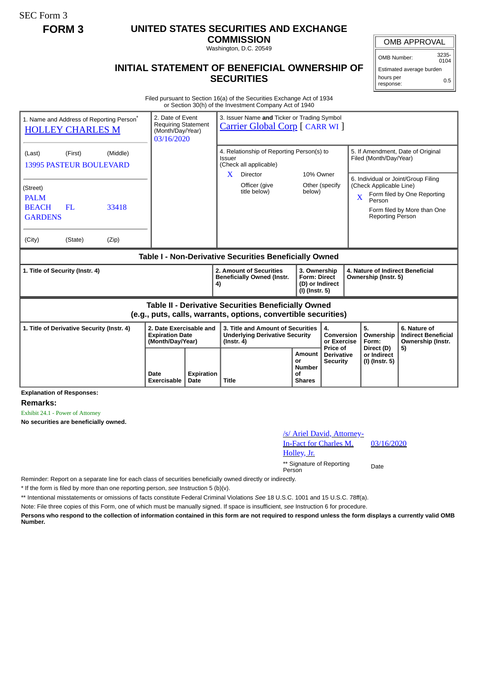SEC Form 3

## **FORM 3 UNITED STATES SECURITIES AND EXCHANGE**

**COMMISSION** Washington, D.C. 20549

## OMB APPROVAL

OMB Number: 3235-  $0104$ 

## **INITIAL STATEMENT OF BENEFICIAL OWNERSHIP OF SECURITIES**

Estimated average burden hours per response: 0.5

Filed pursuant to Section 16(a) of the Securities Exchange Act of 1934 or Section 30(h) of the Investment Company Act of 1940

| 1. Name and Address of Reporting Person <sup>®</sup><br><b>HOLLEY CHARLES M</b>                                              |      | 3. Issuer Name and Ticker or Trading Symbol<br>2. Date of Event<br><b>Requiring Statement</b><br><b>Carrier Global Corp</b> [ CARR WI ]<br>(Month/Day/Year)<br>03/16/2020 |                                                                                                                        |                                                                          |                                             |                                                             |                                                              |                                                                                                   |  |
|------------------------------------------------------------------------------------------------------------------------------|------|---------------------------------------------------------------------------------------------------------------------------------------------------------------------------|------------------------------------------------------------------------------------------------------------------------|--------------------------------------------------------------------------|---------------------------------------------|-------------------------------------------------------------|--------------------------------------------------------------|---------------------------------------------------------------------------------------------------|--|
| (First)<br>(Middle)<br>(Last)<br><b>13995 PASTEUR BOULEVARD</b>                                                              |      |                                                                                                                                                                           | 4. Relationship of Reporting Person(s) to<br>Issuer<br>(Check all applicable)<br>10% Owner<br>$\mathbf{X}$<br>Director |                                                                          |                                             | 5. If Amendment, Date of Original<br>Filed (Month/Day/Year) |                                                              |                                                                                                   |  |
| (Street)<br><b>PALM</b><br><b>BEACH</b><br>FL<br>33418<br><b>GARDENS</b>                                                     |      |                                                                                                                                                                           | Officer (give<br>title below)                                                                                          | below)                                                                   | Other (specify                              | X                                                           | (Check Applicable Line)<br>Person<br><b>Reporting Person</b> | 6. Individual or Joint/Group Filing<br>Form filed by One Reporting<br>Form filed by More than One |  |
| (City)<br>(State)<br>(Zip)                                                                                                   |      |                                                                                                                                                                           |                                                                                                                        |                                                                          |                                             |                                                             |                                                              |                                                                                                   |  |
| Table I - Non-Derivative Securities Beneficially Owned                                                                       |      |                                                                                                                                                                           |                                                                                                                        |                                                                          |                                             |                                                             |                                                              |                                                                                                   |  |
| 1. Title of Security (Instr. 4)                                                                                              |      |                                                                                                                                                                           | 2. Amount of Securities<br><b>Beneficially Owned (Instr.</b><br>4)                                                     | 3. Ownership<br><b>Form: Direct</b><br>(D) or Indirect<br>(I) (Instr. 5) |                                             | 4. Nature of Indirect Beneficial<br>Ownership (Instr. 5)    |                                                              |                                                                                                   |  |
| <b>Table II - Derivative Securities Beneficially Owned</b><br>(e.g., puts, calls, warrants, options, convertible securities) |      |                                                                                                                                                                           |                                                                                                                        |                                                                          |                                             |                                                             |                                                              |                                                                                                   |  |
| 2. Date Exercisable and<br>1. Title of Derivative Security (Instr. 4)<br><b>Expiration Date</b><br>(Month/Day/Year)          |      |                                                                                                                                                                           | 3. Title and Amount of Securities<br><b>Underlying Derivative Security</b><br>$($ lnstr. 4 $)$                         |                                                                          | 4.<br>Conversion<br>or Exercise<br>Price of |                                                             | 5.<br>Ownership<br>Form:<br>Direct (D)                       | 6. Nature of<br><b>Indirect Beneficial</b><br>Ownership (Instr.                                   |  |
|                                                                                                                              | Date | <b>Expiration</b>                                                                                                                                                         |                                                                                                                        | Amount<br>or<br><b>Number</b><br>of                                      | <b>Derivative</b><br><b>Security</b>        |                                                             | or Indirect<br>(I) (Instr. 5)                                | 5)                                                                                                |  |

**Explanation of Responses:**

**Remarks:**

Exhibit 24.1 - Power of Attorney

**No securities are beneficially owned.**

| /s/ Ariel David, Attorney-<br><b>In-Fact for Charles M.</b> | 03/1 |
|-------------------------------------------------------------|------|
| Holley, Jr.                                                 |      |
| ** Signature of Reporting<br>Person                         | Date |

03/16/2020

Reminder: Report on a separate line for each class of securities beneficially owned directly or indirectly.

\* If the form is filed by more than one reporting person, *see* Instruction 5 (b)(v).

\*\* Intentional misstatements or omissions of facts constitute Federal Criminal Violations *See* 18 U.S.C. 1001 and 15 U.S.C. 78ff(a).

Note: File three copies of this Form, one of which must be manually signed. If space is insufficient, *see* Instruction 6 for procedure.

**Persons who respond to the collection of information contained in this form are not required to respond unless the form displays a currently valid OMB Number.**